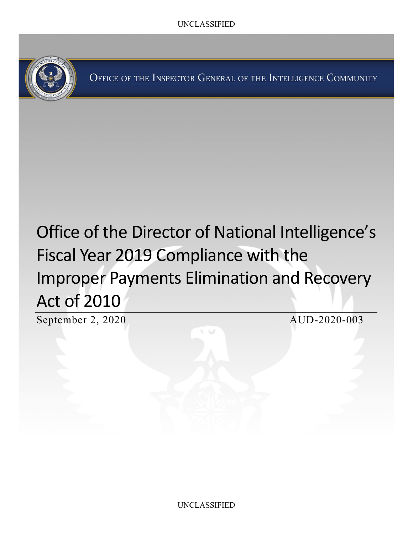

OFFICE OF THE INSPECTOR GENERAL OF THE INTELLIGENCE COMMUNITY

# Office of the Director of National Intelligence's Fiscal Year 2019 Compliance with the Improper Payments Elimination and Recovery Act of 2010

September 2, 2020 AUD-2020-003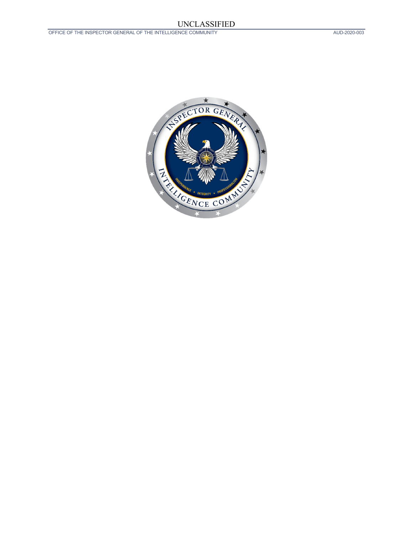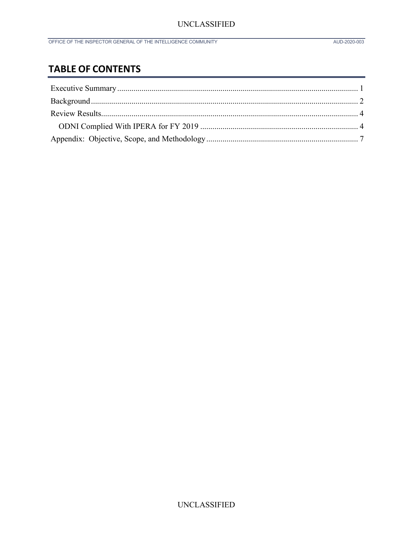OFFICE OF THE INSPECTOR GENERAL OF THE INTELLIGENCE COMMUNITY

## **TABLE OF CONTENTS**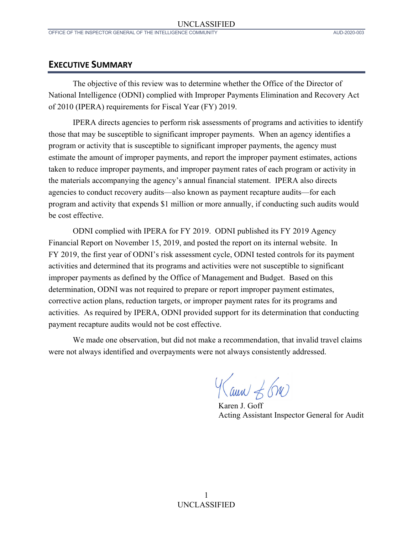OFFICE OF THE INSPECTOR GENERAL OF THE INTELLIGENCE COMMUNITY AUD-2020-003

#### **EXECUTIVE SUMMARY**

The objective of this review was to determine whether the Office of the Director of National Intelligence (ODNI) complied with Improper Payments Elimination and Recovery Act of 2010 (IPERA) requirements for Fiscal Year (FY) 2019.

IPERA directs agencies to perform risk assessments of programs and activities to identify those that may be susceptible to significant improper payments. When an agency identifies a program or activity that is susceptible to significant improper payments, the agency must estimate the amount of improper payments, and report the improper payment estimates, actions taken to reduce improper payments, and improper payment rates of each program or activity in the materials accompanying the agency's annual financial statement. IPERA also directs agencies to conduct recovery audits—also known as payment recapture audits—for each program and activity that expends \$1 million or more annually, if conducting such audits would be cost effective.

ODNI complied with IPERA for FY 2019. ODNI published its FY 2019 Agency Financial Report on November 15, 2019, and posted the report on its internal website. In FY 2019, the first year of ODNI's risk assessment cycle, ODNI tested controls for its payment activities and determined that its programs and activities were not susceptible to significant improper payments as defined by the Office of Management and Budget. Based on this determination, ODNI was not required to prepare or report improper payment estimates, corrective action plans, reduction targets, or improper payment rates for its programs and activities. As required by IPERA, ODNI provided support for its determination that conducting payment recapture audits would not be cost effective.

 We made one observation, but did not make a recommendation, that invalid travel claims were not always identified and overpayments were not always consistently addressed.

Kaun & 6no

Karen J. Goff Acting Assistant Inspector General for Audit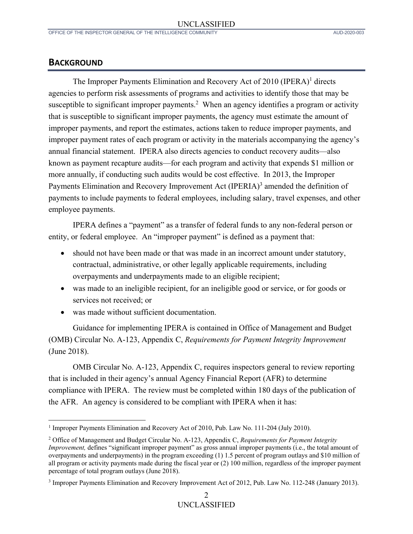#### **BACKGROUND**

1

The Improper Payments Elimination and Recovery Act of 2010 (IPERA)<sup>1</sup> directs agencies to perform risk assessments of programs and activities to identify those that may be susceptible to significant improper payments.<sup>2</sup> When an agency identifies a program or activity that is susceptible to significant improper payments, the agency must estimate the amount of improper payments, and report the estimates, actions taken to reduce improper payments, and improper payment rates of each program or activity in the materials accompanying the agency's annual financial statement. IPERA also directs agencies to conduct recovery audits—also known as payment recapture audits—for each program and activity that expends \$1 million or more annually, if conducting such audits would be cost effective. In 2013, the Improper Payments Elimination and Recovery Improvement Act (IPERIA)<sup>3</sup> amended the definition of payments to include payments to federal employees, including salary, travel expenses, and other employee payments.

IPERA defines a "payment" as a transfer of federal funds to any non-federal person or entity, or federal employee. An "improper payment" is defined as a payment that:

- should not have been made or that was made in an incorrect amount under statutory, contractual, administrative, or other legally applicable requirements, including overpayments and underpayments made to an eligible recipient;
- was made to an ineligible recipient, for an ineligible good or service, or for goods or services not received; or
- was made without sufficient documentation.

Guidance for implementing IPERA is contained in Office of Management and Budget (OMB) Circular No. A-123, Appendix C, *Requirements for Payment Integrity Improvement* (June 2018).

OMB Circular No. A-123, Appendix C, requires inspectors general to review reporting that is included in their agency's annual Agency Financial Report (AFR) to determine compliance with IPERA. The review must be completed within 180 days of the publication of the AFR. An agency is considered to be compliant with IPERA when it has:

<sup>&</sup>lt;sup>1</sup> Improper Payments Elimination and Recovery Act of 2010, Pub. Law No. 111-204 (July 2010).

<sup>2</sup> Office of Management and Budget Circular No. A-123, Appendix C, *Requirements for Payment Integrity Improvement,* defines "significant improper payment" as gross annual improper payments (i.e., the total amount of overpayments and underpayments) in the program exceeding (1) 1.5 percent of program outlays and \$10 million of all program or activity payments made during the fiscal year or (2) 100 million, regardless of the improper payment percentage of total program outlays (June 2018).

<sup>&</sup>lt;sup>3</sup> Improper Payments Elimination and Recovery Improvement Act of 2012, Pub. Law No. 112-248 (January 2013).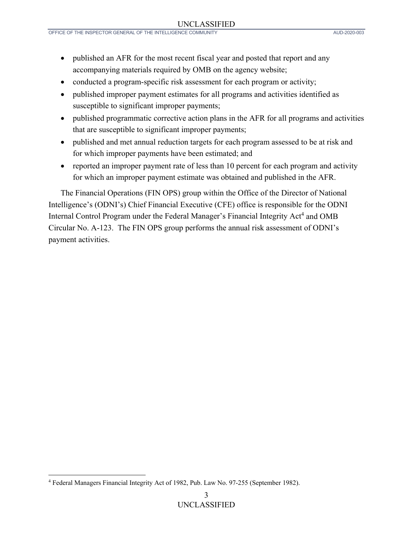- published an AFR for the most recent fiscal year and posted that report and any accompanying materials required by OMB on the agency website;
- conducted a program-specific risk assessment for each program or activity;
- published improper payment estimates for all programs and activities identified as susceptible to significant improper payments;
- published programmatic corrective action plans in the AFR for all programs and activities that are susceptible to significant improper payments;
- published and met annual reduction targets for each program assessed to be at risk and for which improper payments have been estimated; and
- reported an improper payment rate of less than 10 percent for each program and activity for which an improper payment estimate was obtained and published in the AFR.

The Financial Operations (FIN OPS) group within the Office of the Director of National Intelligence's (ODNI's) Chief Financial Executive (CFE) office is responsible for the ODNI Internal Control Program under the Federal Manager's Financial Integrity Act<sup>4</sup> and OMB Circular No. A-123. The FIN OPS group performs the annual risk assessment of ODNI's payment activities.

 $\overline{a}$ 

<sup>4</sup> Federal Managers Financial Integrity Act of 1982, Pub. Law No. 97-255 (September 1982).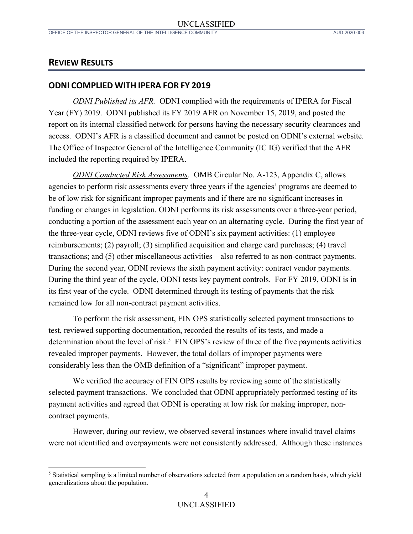#### **REVIEW RESULTS**

1

#### **ODNI COMPLIED WITH IPERA FOR FY 2019**

*ODNI Published its AFR.* ODNI complied with the requirements of IPERA for Fiscal Year (FY) 2019. ODNI published its FY 2019 AFR on November 15, 2019, and posted the report on its internal classified network for persons having the necessary security clearances and access. ODNI's AFR is a classified document and cannot be posted on ODNI's external website. The Office of Inspector General of the Intelligence Community (IC IG) verified that the AFR included the reporting required by IPERA.

*ODNI Conducted Risk Assessments.* OMB Circular No. A-123, Appendix C, allows agencies to perform risk assessments every three years if the agencies' programs are deemed to be of low risk for significant improper payments and if there are no significant increases in funding or changes in legislation. ODNI performs its risk assessments over a three-year period, conducting a portion of the assessment each year on an alternating cycle. During the first year of the three-year cycle, ODNI reviews five of ODNI's six payment activities: (1) employee reimbursements; (2) payroll; (3) simplified acquisition and charge card purchases; (4) travel transactions; and (5) other miscellaneous activities—also referred to as non-contract payments. During the second year, ODNI reviews the sixth payment activity: contract vendor payments. During the third year of the cycle, ODNI tests key payment controls. For FY 2019, ODNI is in its first year of the cycle. ODNI determined through its testing of payments that the risk remained low for all non-contract payment activities.

To perform the risk assessment, FIN OPS statistically selected payment transactions to test, reviewed supporting documentation, recorded the results of its tests, and made a determination about the level of risk.<sup>5</sup> FIN OPS's review of three of the five payments activities revealed improper payments. However, the total dollars of improper payments were considerably less than the OMB definition of a "significant" improper payment.

We verified the accuracy of FIN OPS results by reviewing some of the statistically selected payment transactions. We concluded that ODNI appropriately performed testing of its payment activities and agreed that ODNI is operating at low risk for making improper, noncontract payments.

However, during our review, we observed several instances where invalid travel claims were not identified and overpayments were not consistently addressed. Although these instances

<sup>&</sup>lt;sup>5</sup> Statistical sampling is a limited number of observations selected from a population on a random basis, which yield generalizations about the population.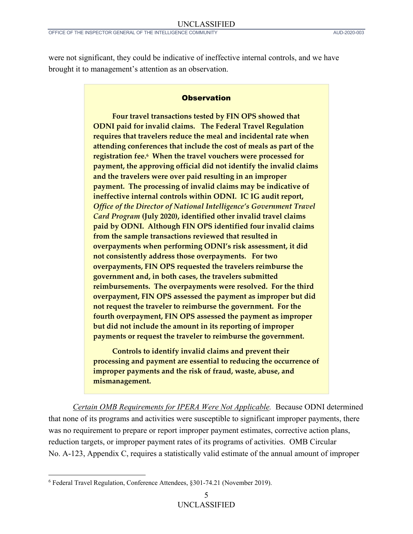were not significant, they could be indicative of ineffective internal controls, and we have brought it to management's attention as an observation.

#### **Observation**

**Four travel transactions tested by FIN OPS showed that ODNI paid for invalid claims. The Federal Travel Regulation requires that travelers reduce the meal and incidental rate when attending conferences that include the cost of meals as part of the registration fee.6 When the travel vouchers were processed for payment, the approving official did not identify the invalid claims and the travelers were over paid resulting in an improper payment. The processing of invalid claims may be indicative of ineffective internal controls within ODNI. IC IG audit report,** *Office of the Director of National Intelligence's Government Travel Card Program* **(July 2020), identified other invalid travel claims paid by ODNI. Although FIN OPS identified four invalid claims from the sample transactions reviewed that resulted in overpayments when performing ODNI's risk assessment, it did not consistently address those overpayments. For two overpayments, FIN OPS requested the travelers reimburse the government and, in both cases, the travelers submitted reimbursements. The overpayments were resolved. For the third overpayment, FIN OPS assessed the payment as improper but did not request the traveler to reimburse the government. For the fourth overpayment, FIN OPS assessed the payment as improper but did not include the amount in its reporting of improper payments or request the traveler to reimburse the government.** 

**Controls to identify invalid claims and prevent their processing and payment are essential to reducing the occurrence of improper payments and the risk of fraud, waste, abuse, and mismanagement.** 

*Certain OMB Requirements for IPERA Were Not Applicable.* Because ODNI determined that none of its programs and activities were susceptible to significant improper payments, there was no requirement to prepare or report improper payment estimates, corrective action plans, reduction targets, or improper payment rates of its programs of activities. OMB Circular No. A-123, Appendix C, requires a statistically valid estimate of the annual amount of improper

 $\overline{a}$ 

<sup>6</sup> Federal Travel Regulation, Conference Attendees, §301-74.21 (November 2019).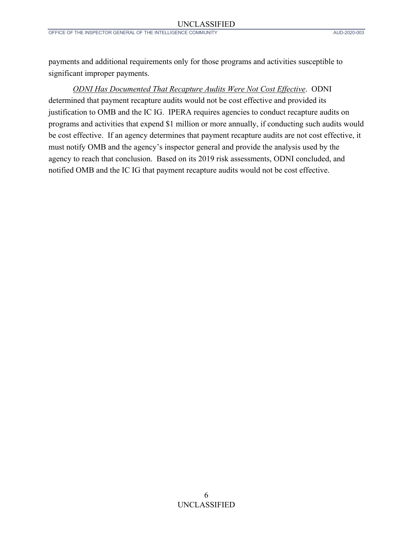payments and additional requirements only for those programs and activities susceptible to significant improper payments.

*ODNI Has Documented That Recapture Audits Were Not Cost Effective*. ODNI determined that payment recapture audits would not be cost effective and provided its justification to OMB and the IC IG. IPERA requires agencies to conduct recapture audits on programs and activities that expend \$1 million or more annually, if conducting such audits would be cost effective. If an agency determines that payment recapture audits are not cost effective, it must notify OMB and the agency's inspector general and provide the analysis used by the agency to reach that conclusion. Based on its 2019 risk assessments, ODNI concluded, and notified OMB and the IC IG that payment recapture audits would not be cost effective.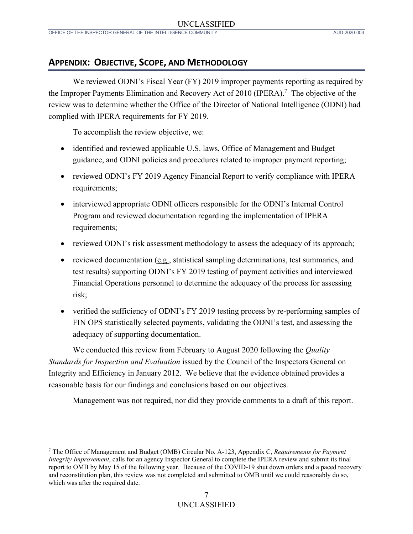#### **APPENDIX: OBJECTIVE, SCOPE, AND METHODOLOGY**

We reviewed ODNI's Fiscal Year (FY) 2019 improper payments reporting as required by the Improper Payments Elimination and Recovery Act of 2010 (IPERA).<sup>7</sup> The objective of the review was to determine whether the Office of the Director of National Intelligence (ODNI) had complied with IPERA requirements for FY 2019.

To accomplish the review objective, we:

 $\overline{a}$ 

- identified and reviewed applicable U.S. laws, Office of Management and Budget guidance, and ODNI policies and procedures related to improper payment reporting;
- reviewed ODNI's FY 2019 Agency Financial Report to verify compliance with IPERA requirements;
- interviewed appropriate ODNI officers responsible for the ODNI's Internal Control Program and reviewed documentation regarding the implementation of IPERA requirements;
- reviewed ODNI's risk assessment methodology to assess the adequacy of its approach;
- reviewed documentation (e.g., statistical sampling determinations, test summaries, and test results) supporting ODNI's FY 2019 testing of payment activities and interviewed Financial Operations personnel to determine the adequacy of the process for assessing risk;
- verified the sufficiency of ODNI's FY 2019 testing process by re-performing samples of FIN OPS statistically selected payments, validating the ODNI's test, and assessing the adequacy of supporting documentation.

We conducted this review from February to August 2020 following the *Quality Standards for Inspection and Evaluation* issued by the Council of the Inspectors General on Integrity and Efficiency in January 2012. We believe that the evidence obtained provides a reasonable basis for our findings and conclusions based on our objectives.

Management was not required, nor did they provide comments to a draft of this report.

<sup>7</sup> The Office of Management and Budget (OMB) Circular No. A-123, Appendix C, *Requirements for Payment Integrity Improvement*, calls for an agency Inspector General to complete the IPERA review and submit its final report to OMB by May 15 of the following year. Because of the COVID-19 shut down orders and a paced recovery and reconstitution plan, this review was not completed and submitted to OMB until we could reasonably do so, which was after the required date.